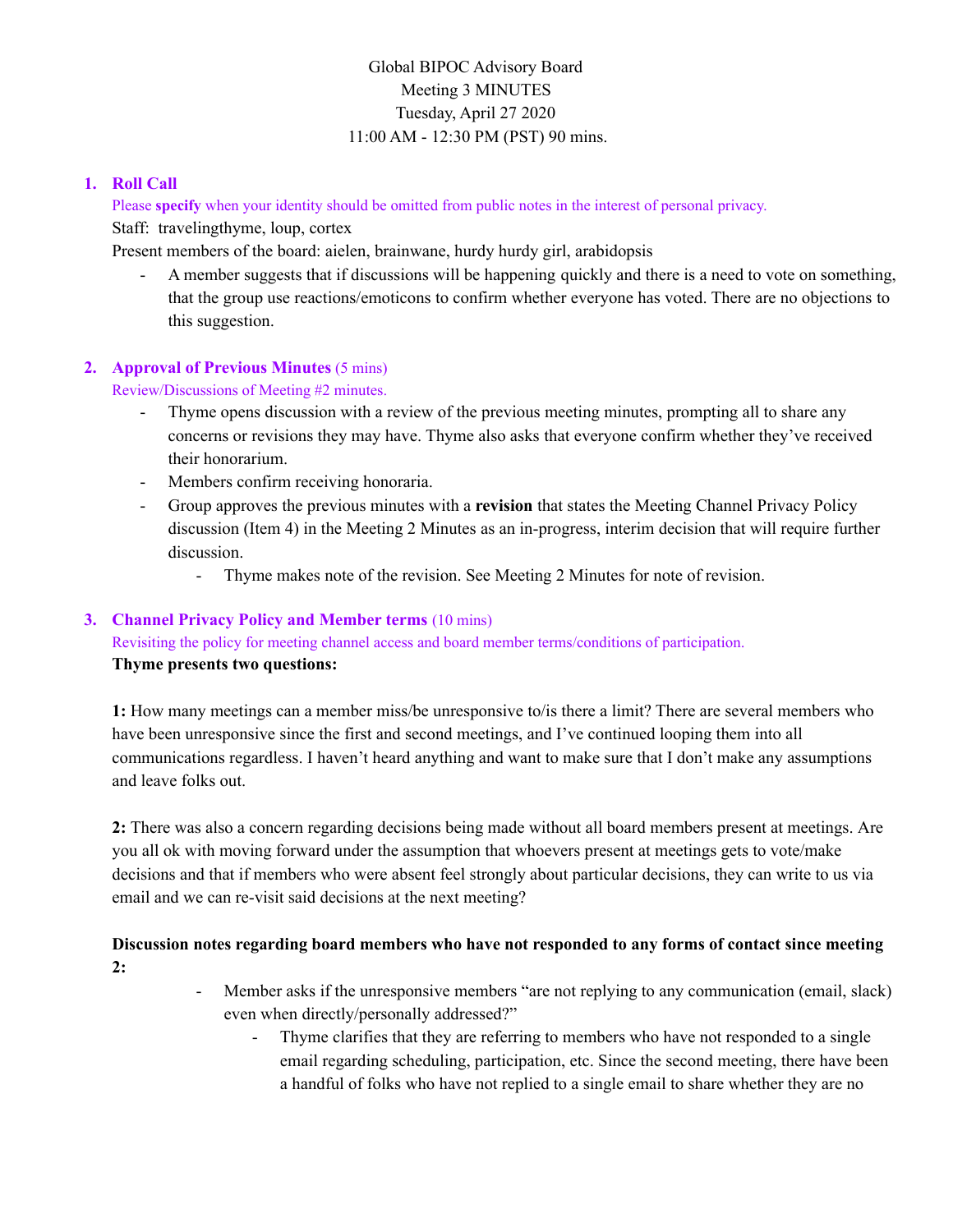# Global BIPOC Advisory Board Meeting 3 MINUTES Tuesday, April 27 2020 11:00 AM - 12:30 PM (PST) 90 mins.

### **1. Roll Call**

Please **specify** when your identity should be omitted from public notes in the interest of personal privacy. Staff: travelingthyme, loup, cortex

Present members of the board: aielen, brainwane, hurdy hurdy girl, arabidopsis

- A member suggests that if discussions will be happening quickly and there is a need to vote on something, that the group use reactions/emoticons to confirm whether everyone has voted. There are no objections to this suggestion.

### **2. Approval of Previous Minutes** (5 mins)

Review/Discussions of Meeting #2 minutes.

- Thyme opens discussion with a review of the previous meeting minutes, prompting all to share any concerns or revisions they may have. Thyme also asks that everyone confirm whether they've received their honorarium.
- Members confirm receiving honoraria.
- Group approves the previous minutes with a **revision** that states the Meeting Channel Privacy Policy discussion (Item 4) in the Meeting 2 Minutes as an in-progress, interim decision that will require further discussion.
	- Thyme makes note of the revision. See Meeting 2 Minutes for note of revision.

### **3. Channel Privacy Policy and Member terms** (10 mins)

Revisiting the policy for meeting channel access and board member terms/conditions of participation.

#### **Thyme presents two questions:**

**1:** How many meetings can a member miss/be unresponsive to/is there a limit? There are several members who have been unresponsive since the first and second meetings, and I've continued looping them into all communications regardless. I haven't heard anything and want to make sure that I don't make any assumptions and leave folks out.

**2:** There was also a concern regarding decisions being made without all board members present at meetings. Are you all ok with moving forward under the assumption that whoevers present at meetings gets to vote/make decisions and that if members who were absent feel strongly about particular decisions, they can write to us via email and we can re-visit said decisions at the next meeting?

**Discussion notes regarding board members who have not responded to any forms of contact since meeting 2:**

- Member asks if the unresponsive members "are not replying to any communication (email, slack) even when directly/personally addressed?"
	- Thyme clarifies that they are referring to members who have not responded to a single email regarding scheduling, participation, etc. Since the second meeting, there have been a handful of folks who have not replied to a single email to share whether they are no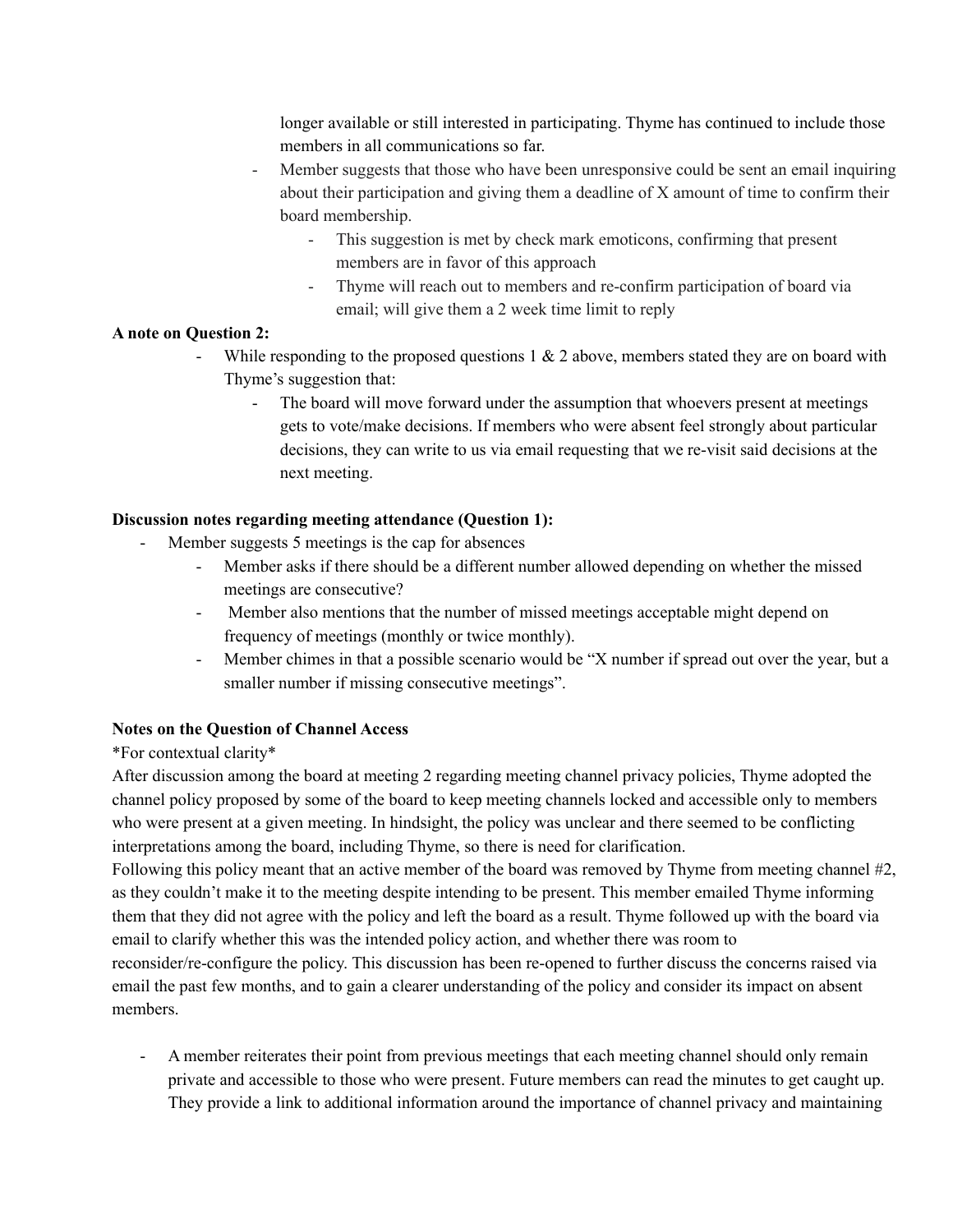longer available or still interested in participating. Thyme has continued to include those members in all communications so far.

- Member suggests that those who have been unresponsive could be sent an email inquiring about their participation and giving them a deadline of X amount of time to confirm their board membership.
	- This suggestion is met by check mark emoticons, confirming that present members are in favor of this approach
	- Thyme will reach out to members and re-confirm participation of board via email; will give them a 2 week time limit to reply

#### **A note on Question 2:**

- While responding to the proposed questions  $1 \& 2$  above, members stated they are on board with Thyme's suggestion that:
	- The board will move forward under the assumption that whoevers present at meetings gets to vote/make decisions. If members who were absent feel strongly about particular decisions, they can write to us via email requesting that we re-visit said decisions at the next meeting.

#### **Discussion notes regarding meeting attendance (Question 1):**

- Member suggests 5 meetings is the cap for absences
	- Member asks if there should be a different number allowed depending on whether the missed meetings are consecutive?
	- Member also mentions that the number of missed meetings acceptable might depend on frequency of meetings (monthly or twice monthly).
	- Member chimes in that a possible scenario would be "X number if spread out over the year, but a smaller number if missing consecutive meetings".

#### **Notes on the Question of Channel Access**

#### \*For contextual clarity\*

After discussion among the board at meeting 2 regarding meeting channel privacy policies, Thyme adopted the channel policy proposed by some of the board to keep meeting channels locked and accessible only to members who were present at a given meeting. In hindsight, the policy was unclear and there seemed to be conflicting interpretations among the board, including Thyme, so there is need for clarification.

Following this policy meant that an active member of the board was removed by Thyme from meeting channel #2, as they couldn't make it to the meeting despite intending to be present. This member emailed Thyme informing them that they did not agree with the policy and left the board as a result. Thyme followed up with the board via email to clarify whether this was the intended policy action, and whether there was room to reconsider/re-configure the policy. This discussion has been re-opened to further discuss the concerns raised via email the past few months, and to gain a clearer understanding of the policy and consider its impact on absent members.

- A member reiterates their point from previous meetings that each meeting channel should only remain private and accessible to those who were present. Future members can read the minutes to get caught up. They provide a link to additional information around the importance of channel privacy and maintaining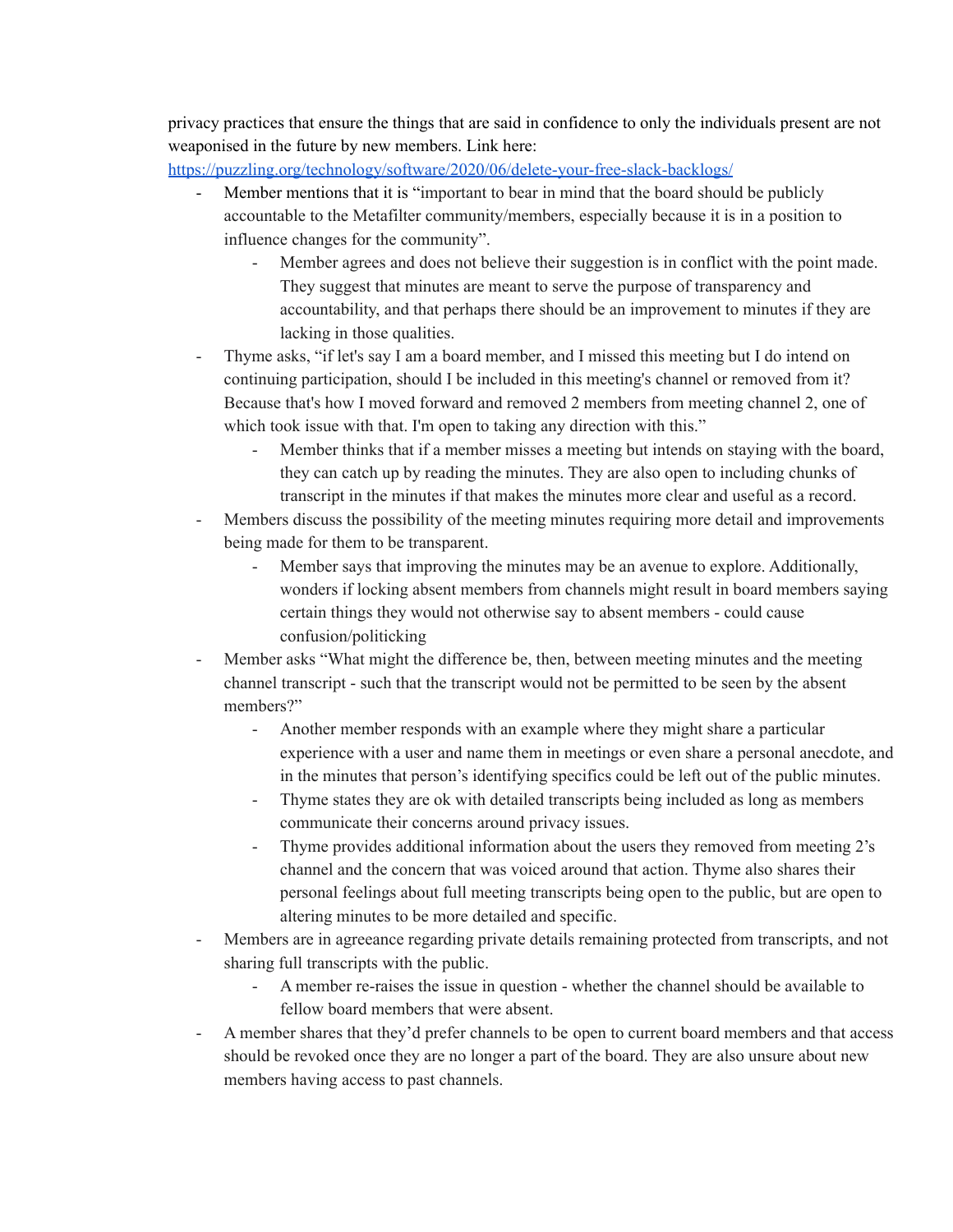privacy practices that ensure the things that are said in confidence to only the individuals present are not weaponised in the future by new members. Link here:

<https://puzzling.org/technology/software/2020/06/delete-your-free-slack-backlogs/>

- Member mentions that it is "important to bear in mind that the board should be publicly accountable to the Metafilter community/members, especially because it is in a position to influence changes for the community".
	- Member agrees and does not believe their suggestion is in conflict with the point made. They suggest that minutes are meant to serve the purpose of transparency and accountability, and that perhaps there should be an improvement to minutes if they are lacking in those qualities.
- Thyme asks, "if let's say I am a board member, and I missed this meeting but I do intend on continuing participation, should I be included in this meeting's channel or removed from it? Because that's how I moved forward and removed 2 members from meeting channel 2, one of which took issue with that. I'm open to taking any direction with this."
	- Member thinks that if a member misses a meeting but intends on staying with the board, they can catch up by reading the minutes. They are also open to including chunks of transcript in the minutes if that makes the minutes more clear and useful as a record.
- Members discuss the possibility of the meeting minutes requiring more detail and improvements being made for them to be transparent.
	- Member says that improving the minutes may be an avenue to explore. Additionally, wonders if locking absent members from channels might result in board members saying certain things they would not otherwise say to absent members - could cause confusion/politicking
- Member asks "What might the difference be, then, between meeting minutes and the meeting channel transcript - such that the transcript would not be permitted to be seen by the absent members?"
	- Another member responds with an example where they might share a particular experience with a user and name them in meetings or even share a personal anecdote, and in the minutes that person's identifying specifics could be left out of the public minutes.
	- Thyme states they are ok with detailed transcripts being included as long as members communicate their concerns around privacy issues.
	- Thyme provides additional information about the users they removed from meeting 2's channel and the concern that was voiced around that action. Thyme also shares their personal feelings about full meeting transcripts being open to the public, but are open to altering minutes to be more detailed and specific.
- Members are in agreeance regarding private details remaining protected from transcripts, and not sharing full transcripts with the public.
	- A member re-raises the issue in question whether the channel should be available to fellow board members that were absent.
- A member shares that they'd prefer channels to be open to current board members and that access should be revoked once they are no longer a part of the board. They are also unsure about new members having access to past channels.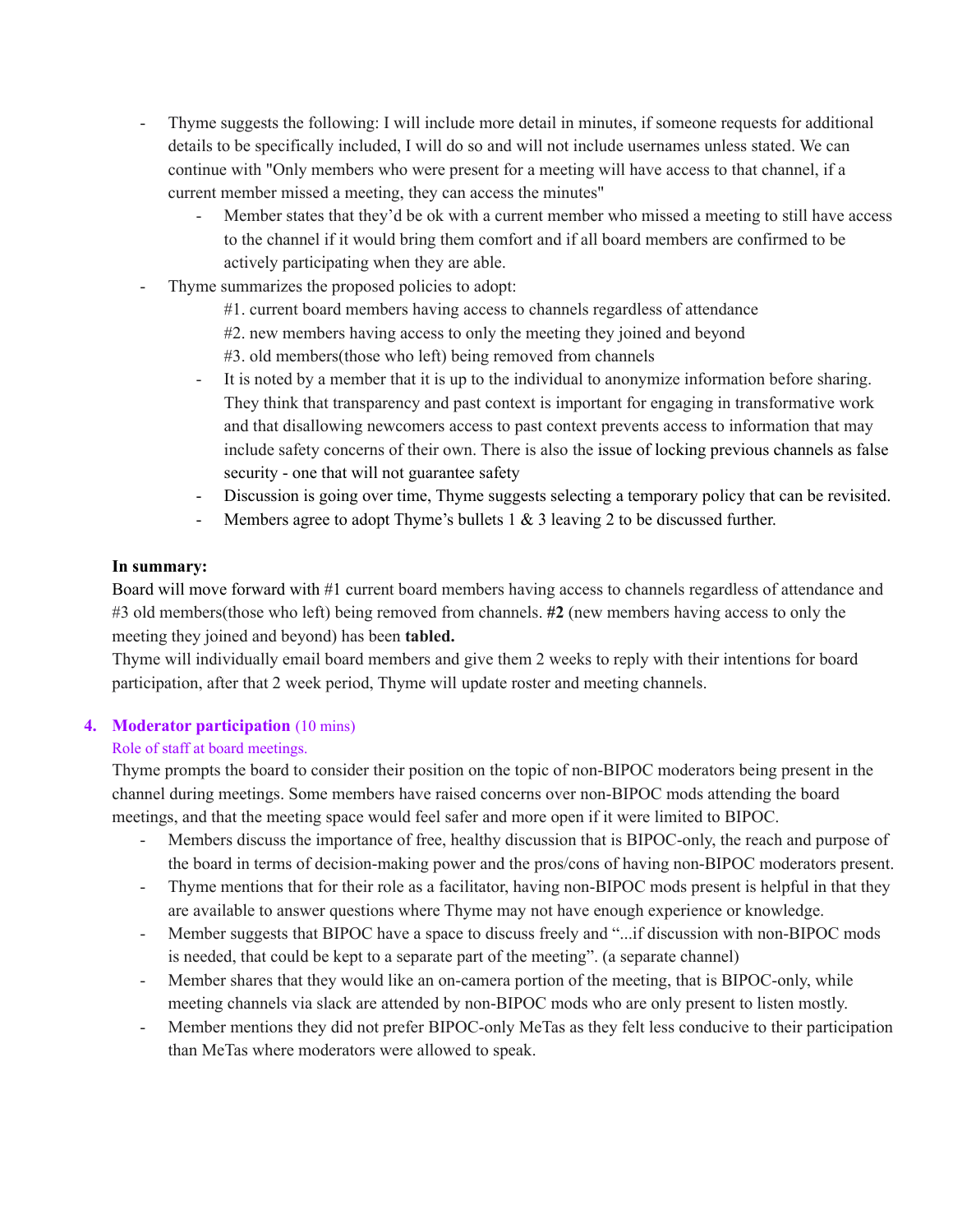- Thyme suggests the following: I will include more detail in minutes, if someone requests for additional details to be specifically included, I will do so and will not include usernames unless stated. We can continue with "Only members who were present for a meeting will have access to that channel, if a current member missed a meeting, they can access the minutes"
	- Member states that they'd be ok with a current member who missed a meeting to still have access to the channel if it would bring them comfort and if all board members are confirmed to be actively participating when they are able.
- Thyme summarizes the proposed policies to adopt:
	- #1. current board members having access to channels regardless of attendance
	- #2. new members having access to only the meeting they joined and beyond
	- #3. old members(those who left) being removed from channels
	- It is noted by a member that it is up to the individual to anonymize information before sharing. They think that transparency and past context is important for engaging in transformative work and that disallowing newcomers access to past context prevents access to information that may include safety concerns of their own. There is also the issue of locking previous channels as false security - one that will not guarantee safety
	- Discussion is going over time, Thyme suggests selecting a temporary policy that can be revisited.
	- Members agree to adopt Thyme's bullets 1 & 3 leaving 2 to be discussed further.

#### **In summary:**

Board will move forward with #1 current board members having access to channels regardless of attendance and #3 old members(those who left) being removed from channels. **#2** (new members having access to only the meeting they joined and beyond) has been **tabled.**

Thyme will individually email board members and give them 2 weeks to reply with their intentions for board participation, after that 2 week period, Thyme will update roster and meeting channels.

#### **4. Moderator participation** (10 mins)

#### Role of staff at board meetings.

Thyme prompts the board to consider their position on the topic of non-BIPOC moderators being present in the channel during meetings. Some members have raised concerns over non-BIPOC mods attending the board meetings, and that the meeting space would feel safer and more open if it were limited to BIPOC.

- Members discuss the importance of free, healthy discussion that is BIPOC-only, the reach and purpose of the board in terms of decision-making power and the pros/cons of having non-BIPOC moderators present.
- Thyme mentions that for their role as a facilitator, having non-BIPOC mods present is helpful in that they are available to answer questions where Thyme may not have enough experience or knowledge.
- Member suggests that BIPOC have a space to discuss freely and "...if discussion with non-BIPOC mods is needed, that could be kept to a separate part of the meeting". (a separate channel)
- Member shares that they would like an on-camera portion of the meeting, that is BIPOC-only, while meeting channels via slack are attended by non-BIPOC mods who are only present to listen mostly.
- Member mentions they did not prefer BIPOC-only MeTas as they felt less conducive to their participation than MeTas where moderators were allowed to speak.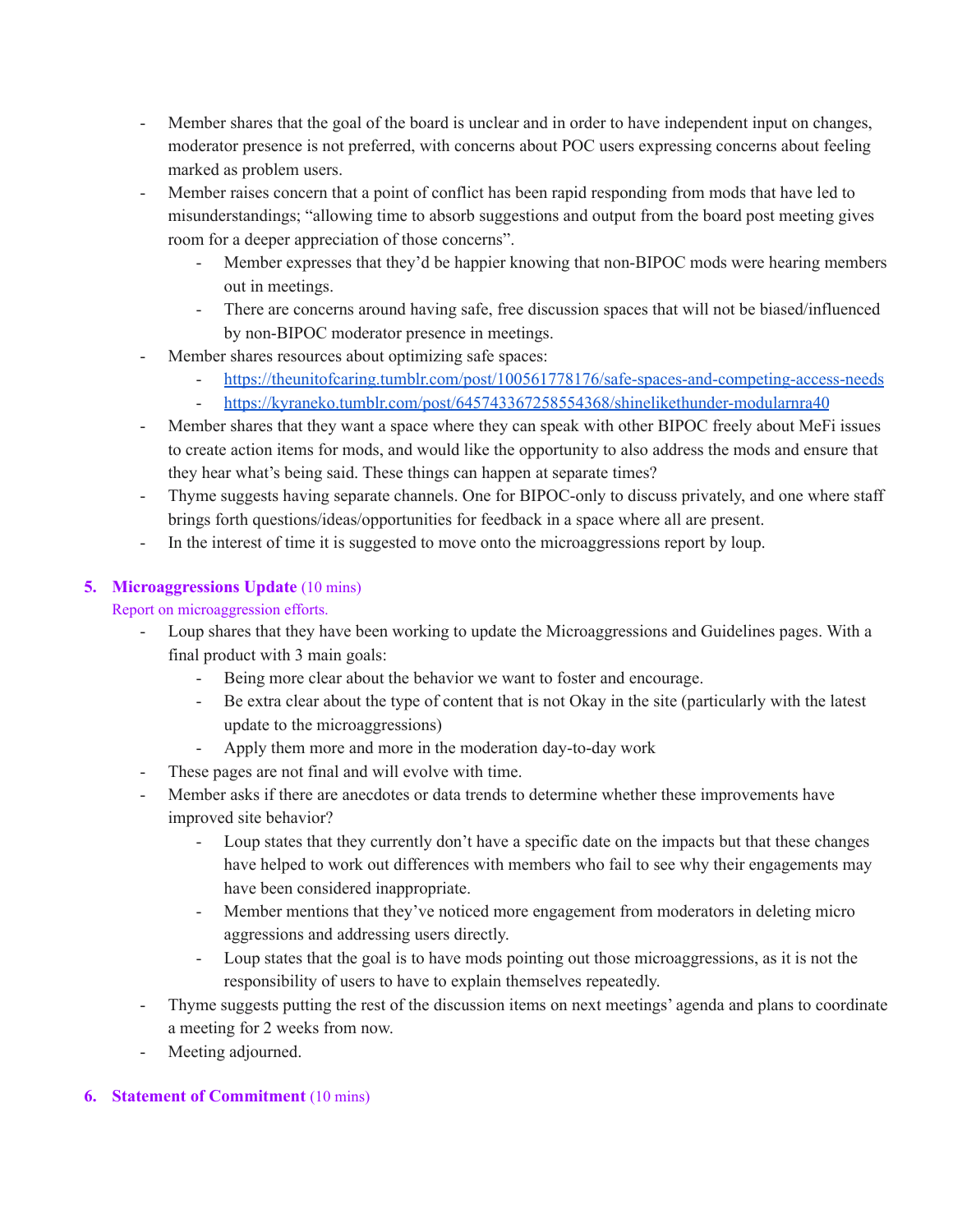- Member shares that the goal of the board is unclear and in order to have independent input on changes, moderator presence is not preferred, with concerns about POC users expressing concerns about feeling marked as problem users.
- Member raises concern that a point of conflict has been rapid responding from mods that have led to misunderstandings; "allowing time to absorb suggestions and output from the board post meeting gives room for a deeper appreciation of those concerns".
	- Member expresses that they'd be happier knowing that non-BIPOC mods were hearing members out in meetings.
	- There are concerns around having safe, free discussion spaces that will not be biased/influenced by non-BIPOC moderator presence in meetings.
- Member shares resources about optimizing safe spaces:
	- <https://theunitofcaring.tumblr.com/post/100561778176/safe-spaces-and-competing-access-needs>
	- <https://kyraneko.tumblr.com/post/645743367258554368/shinelikethunder-modularnra40>
- Member shares that they want a space where they can speak with other BIPOC freely about MeFi issues to create action items for mods, and would like the opportunity to also address the mods and ensure that they hear what's being said. These things can happen at separate times?
- Thyme suggests having separate channels. One for BIPOC-only to discuss privately, and one where staff brings forth questions/ideas/opportunities for feedback in a space where all are present.
- In the interest of time it is suggested to move onto the microaggressions report by loup.

# **5. Microaggressions Update** (10 mins)

# Report on microaggression efforts.

- Loup shares that they have been working to update the Microaggressions and Guidelines pages. With a final product with 3 main goals:
	- Being more clear about the behavior we want to foster and encourage.
	- Be extra clear about the type of content that is not Okay in the site (particularly with the latest update to the microaggressions)
	- Apply them more and more in the moderation day-to-day work
- These pages are not final and will evolve with time.
- Member asks if there are anecdotes or data trends to determine whether these improvements have improved site behavior?
	- Loup states that they currently don't have a specific date on the impacts but that these changes have helped to work out differences with members who fail to see why their engagements may have been considered inappropriate.
	- Member mentions that they've noticed more engagement from moderators in deleting micro aggressions and addressing users directly.
	- Loup states that the goal is to have mods pointing out those microaggressions, as it is not the responsibility of users to have to explain themselves repeatedly.
- Thyme suggests putting the rest of the discussion items on next meetings' agenda and plans to coordinate a meeting for 2 weeks from now.
- Meeting adjourned.

# **6. Statement of Commitment** (10 mins)